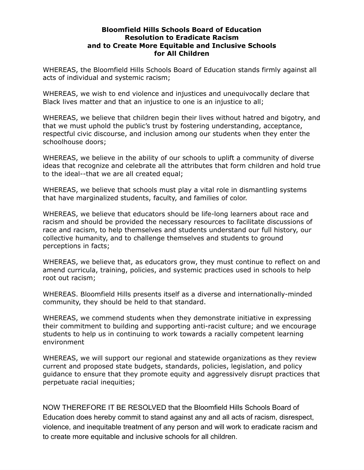## **Bloomfield Hills Schools Board of Education Resolution to Eradicate Racism and to Create More Equitable and Inclusive Schools for All Children**

WHEREAS, the Bloomfield Hills Schools Board of Education stands firmly against all acts of individual and systemic racism;

WHEREAS, we wish to end violence and injustices and unequivocally declare that Black lives matter and that an injustice to one is an injustice to all;

WHEREAS, we believe that children begin their lives without hatred and bigotry, and that we must uphold the public's trust by fostering understanding, acceptance, respectful civic discourse, and inclusion among our students when they enter the schoolhouse doors;

WHEREAS, we believe in the ability of our schools to uplift a community of diverse ideas that recognize and celebrate all the attributes that form children and hold true to the ideal--that we are all created equal;

WHEREAS, we believe that schools must play a vital role in dismantling systems that have marginalized students, faculty, and families of color.

WHEREAS, we believe that educators should be life-long learners about race and racism and should be provided the necessary resources to facilitate discussions of race and racism, to help themselves and students understand our full history, our collective humanity, and to challenge themselves and students to ground perceptions in facts;

WHEREAS, we believe that, as educators grow, they must continue to reflect on and amend curricula, training, policies, and systemic practices used in schools to help root out racism;

WHEREAS. Bloomfield Hills presents itself as a diverse and internationally-minded community, they should be held to that standard.

WHEREAS, we commend students when they demonstrate initiative in expressing their commitment to building and supporting anti-racist culture; and we encourage students to help us in continuing to work towards a racially competent learning environment

WHEREAS, we will support our regional and statewide organizations as they review current and proposed state budgets, standards, policies, legislation, and policy guidance to ensure that they promote equity and aggressively disrupt practices that perpetuate racial inequities;

NOW THEREFORE IT BE RESOLVED that the Bloomfield Hills Schools Board of Education does hereby commit to stand against any and all acts of racism, disrespect, violence, and inequitable treatment of any person and will work to eradicate racism and to create more equitable and inclusive schools for all children.